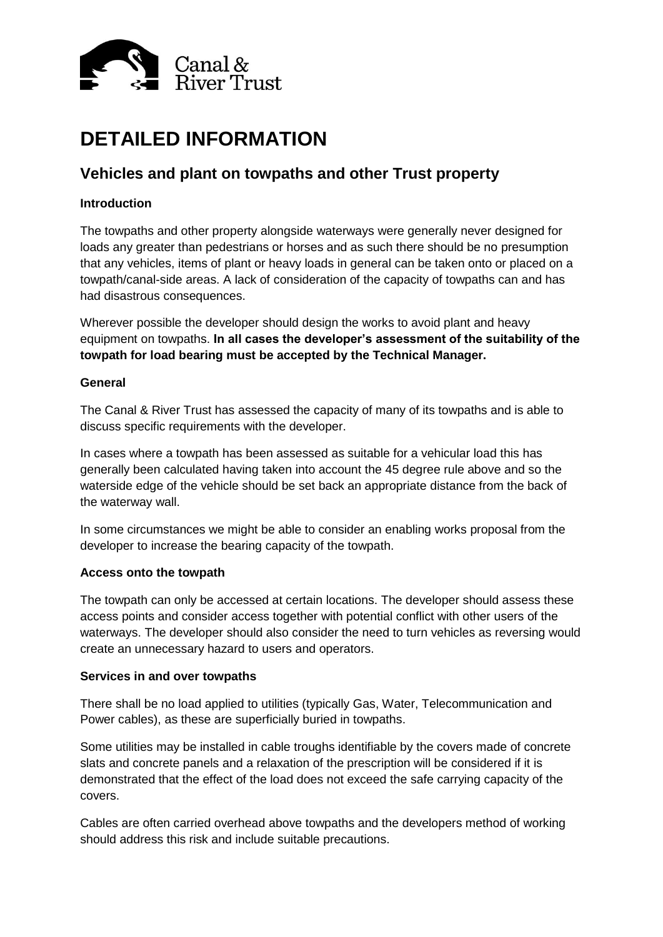

# **DETAILED INFORMATION**

## **Vehicles and plant on towpaths and other Trust property**

### **Introduction**

The towpaths and other property alongside waterways were generally never designed for loads any greater than pedestrians or horses and as such there should be no presumption that any vehicles, items of plant or heavy loads in general can be taken onto or placed on a towpath/canal-side areas. A lack of consideration of the capacity of towpaths can and has had disastrous consequences.

Wherever possible the developer should design the works to avoid plant and heavy equipment on towpaths. **In all cases the developer's assessment of the suitability of the towpath for load bearing must be accepted by the Technical Manager.**

#### **General**

The Canal & River Trust has assessed the capacity of many of its towpaths and is able to discuss specific requirements with the developer.

In cases where a towpath has been assessed as suitable for a vehicular load this has generally been calculated having taken into account the 45 degree rule above and so the waterside edge of the vehicle should be set back an appropriate distance from the back of the waterway wall.

In some circumstances we might be able to consider an enabling works proposal from the developer to increase the bearing capacity of the towpath.

#### **Access onto the towpath**

The towpath can only be accessed at certain locations. The developer should assess these access points and consider access together with potential conflict with other users of the waterways. The developer should also consider the need to turn vehicles as reversing would create an unnecessary hazard to users and operators.

#### **Services in and over towpaths**

There shall be no load applied to utilities (typically Gas, Water, Telecommunication and Power cables), as these are superficially buried in towpaths.

Some utilities may be installed in cable troughs identifiable by the covers made of concrete slats and concrete panels and a relaxation of the prescription will be considered if it is demonstrated that the effect of the load does not exceed the safe carrying capacity of the covers.

Cables are often carried overhead above towpaths and the developers method of working should address this risk and include suitable precautions.